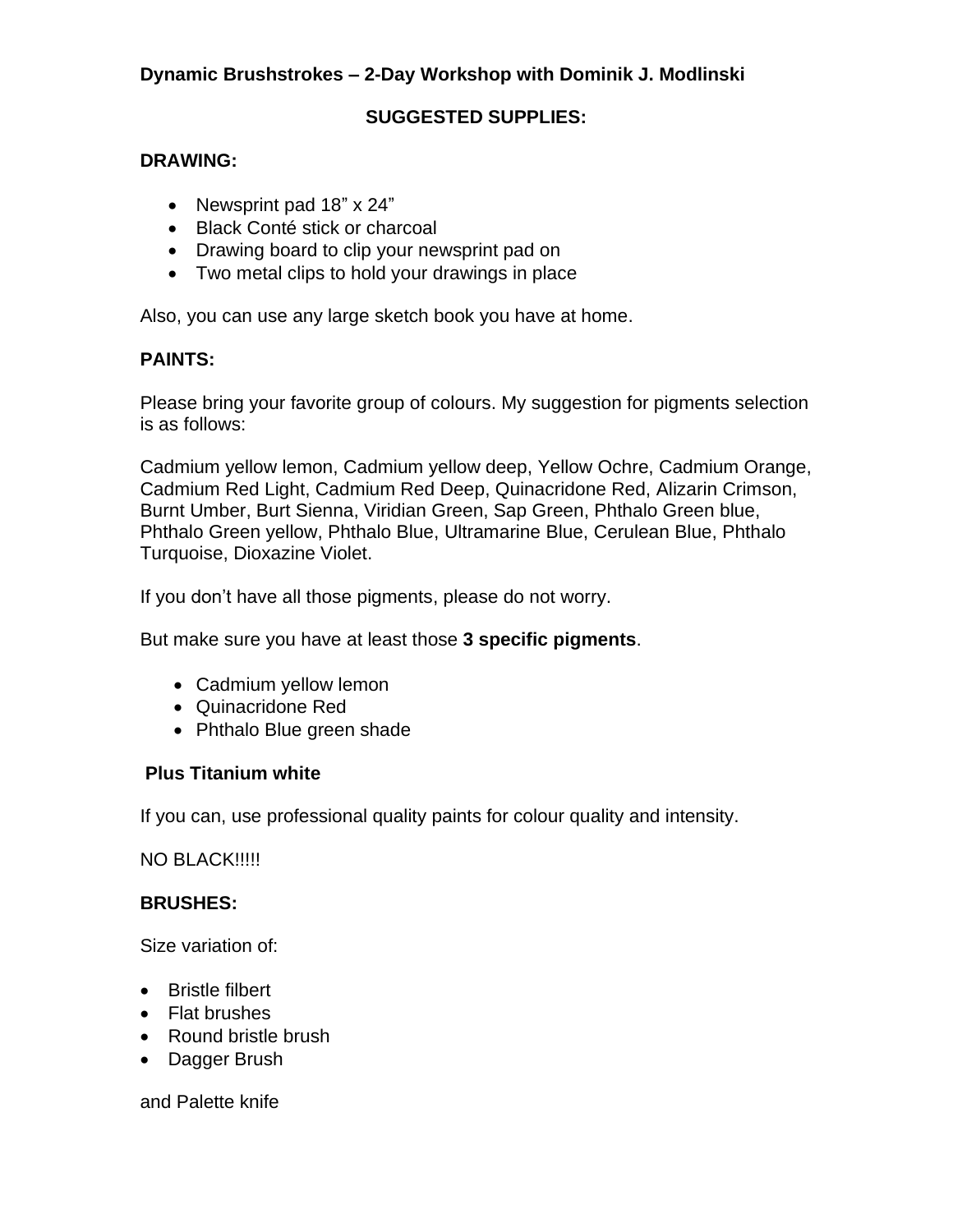# **Dynamic Brushstrokes – 2-Day Workshop with Dominik J. Modlinski**

## **SUGGESTED SUPPLIES:**

#### **DRAWING:**

- Newsprint pad 18" x 24"
- Black Conté stick or charcoal
- Drawing board to clip your newsprint pad on
- Two metal clips to hold your drawings in place

Also, you can use any large sketch book you have at home.

### **PAINTS:**

Please bring your favorite group of colours. My suggestion for pigments selection is as follows:

Cadmium yellow lemon, Cadmium yellow deep, Yellow Ochre, Cadmium Orange, Cadmium Red Light, Cadmium Red Deep, Quinacridone Red, Alizarin Crimson, Burnt Umber, Burt Sienna, Viridian Green, Sap Green, Phthalo Green blue, Phthalo Green yellow, Phthalo Blue, Ultramarine Blue, Cerulean Blue, Phthalo Turquoise, Dioxazine Violet.

If you don't have all those pigments, please do not worry.

But make sure you have at least those **3 specific pigments**.

- Cadmium yellow lemon
- Quinacridone Red
- Phthalo Blue green shade

### **Plus Titanium white**

If you can, use professional quality paints for colour quality and intensity.

NO BLACK!!!!!

### **BRUSHES:**

Size variation of:

- Bristle filbert
- Flat brushes
- Round bristle brush
- Dagger Brush

and Palette knife